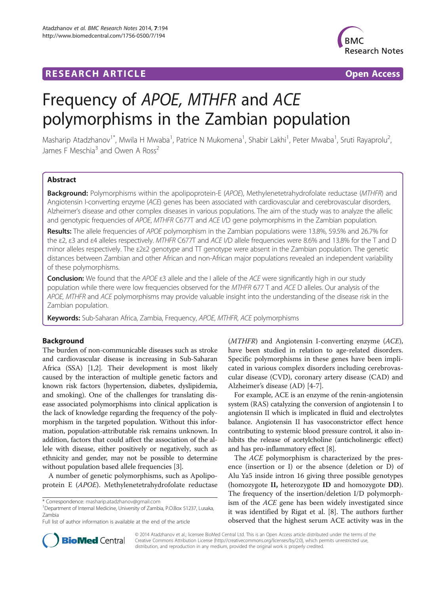## **RESEARCH ARTICLE Example 2014 CONSIDERING A RESEARCH ARTICLE**



# Frequency of APOE, MTHFR and ACE polymorphisms in the Zambian population

Masharip Atadzhanov<sup>1\*</sup>, Mwila H Mwaba<sup>1</sup>, Patrice N Mukomena<sup>1</sup>, Shabir Lakhi<sup>1</sup>, Peter Mwaba<sup>1</sup>, Sruti Rayaprolu<sup>2</sup> , James F Meschia<sup>3</sup> and Owen A Ross<sup>2</sup>

## Abstract

Background: Polymorphisms within the apolipoprotein-E (APOE), Methylenetetrahydrofolate reductase (MTHFR) and Angiotensin I-converting enzyme (ACE) genes has been associated with cardiovascular and cerebrovascular disorders, Alzheimer's disease and other complex diseases in various populations. The aim of the study was to analyze the allelic and genotypic frequencies of APOE, MTHFR C677T and ACE I/D gene polymorphisms in the Zambian population.

Results: The allele frequencies of APOE polymorphism in the Zambian populations were 13.8%, 59.5% and 26.7% for the ε2, ε3 and ε4 alleles respectively. MTHFR C677T and ACE I/D allele frequencies were 8.6% and 13.8% for the T and D minor alleles respectively. The  $\epsilon$ 2 $\epsilon$ 2 genotype and  $\Pi$  genotype were absent in the Zambian population. The genetic distances between Zambian and other African and non-African major populations revealed an independent variability of these polymorphisms.

Conclusion: We found that the APOE ε3 allele and the I allele of the ACE were significantly high in our study population while there were low frequencies observed for the MTHFR 677 T and ACE D alleles. Our analysis of the APOE, MTHFR and ACE polymorphisms may provide valuable insight into the understanding of the disease risk in the Zambian population.

**Keywords:** Sub-Saharan Africa, Zambia, Frequency, APOE, MTHFR, ACE polymorphisms

## Background

The burden of non-communicable diseases such as stroke and cardiovascular disease is increasing in Sub-Saharan Africa (SSA) [\[1,2\]](#page-7-0). Their development is most likely caused by the interaction of multiple genetic factors and known risk factors (hypertension, diabetes, dyslipidemia, and smoking). One of the challenges for translating disease associated polymorphisms into clinical application is the lack of knowledge regarding the frequency of the polymorphism in the targeted population. Without this information, population-attributable risk remains unknown. In addition, factors that could affect the association of the allele with disease, either positively or negatively, such as ethnicity and gender, may not be possible to determine without population based allele frequencies [\[3\]](#page-7-0).

A number of genetic polymorphisms, such as Apolipoprotein E (APOE). Methylenetetrahydrofolate reductase

(MTHFR) and Angiotensin I-converting enzyme (ACE), have been studied in relation to age-related disorders. Specific polymorphisms in these genes have been implicated in various complex disorders including cerebrovascular disease (CVD), coronary artery disease (CAD) and Alzheimer's disease (AD) [\[4](#page-7-0)-[7\]](#page-7-0).

For example, ACE is an enzyme of the renin-angiotensin system (RAS) catalyzing the conversion of angiotensin I to angiotensin II which is implicated in fluid and electrolytes balance. Angiotensin II has vasoconstrictor effect hence contributing to systemic blood pressure control, it also inhibits the release of acetylcholine (anticholinergic effect) and has pro-inflammatory effect [\[8\]](#page-7-0).

The ACE polymorphism is characterized by the presence (insertion or I) or the absence (deletion or D) of Alu Ya5 inside intron 16 giving three possible genotypes (homozygote II, heterozygote ID and homozygote DD). The frequency of the insertion/deletion I/D polymorphism of the ACE gene has been widely investigated since it was identified by Rigat et al. [\[8](#page-7-0)]. The authors further observed that the highest serum ACE activity was in the



© 2014 Atadzhanov et al.; licensee BioMed Central Ltd. This is an Open Access article distributed under the terms of the Creative Commons Attribution License (<http://creativecommons.org/licenses/by/2.0>), which permits unrestricted use, distribution, and reproduction in any medium, provided the original work is properly credited.

<sup>\*</sup> Correspondence: [masharip.atadzhanov@gmail.com](mailto:masharip.atadzhanov@gmail.com) <sup>1</sup>

<sup>&</sup>lt;sup>1</sup>Department of Internal Medicine, University of Zambia, P.O.Box 51237, Lusaka, Zambia

Full list of author information is available at the end of the article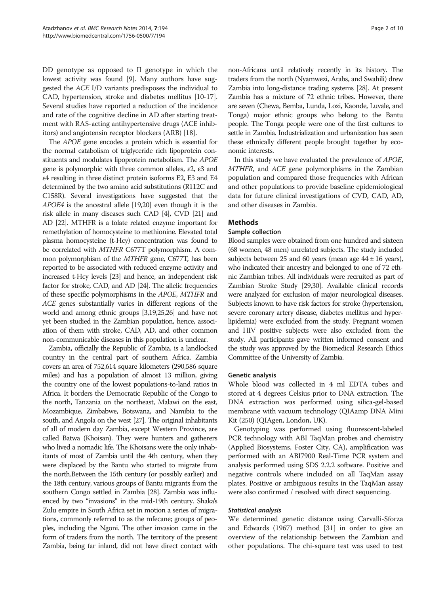DD genotype as opposed to II genotype in which the lowest activity was found [\[9\]](#page-7-0). Many authors have suggested the ACE I/D variants predisposes the individual to CAD, hypertension, stroke and diabetes mellitus [[10](#page-8-0)-[17](#page-8-0)]. Several studies have reported a reduction of the incidence and rate of the cognitive decline in AD after starting treatment with RAS-acting antihypertensive drugs (ACE inhibitors) and angiotensin receptor blockers (ARB) [\[18\]](#page-8-0).

The APOE gene encodes a protein which is essential for the normal catabolism of triglyceride rich lipoprotein constituents and modulates lipoprotein metabolism. The APOE gene is polymorphic with three common alleles, ε2, ε3 and ε4 resulting in three distinct protein isoforms Ε2, Ε3 and Ε4 determined by the two amino acid substitutions (R112C and C158R). Several investigations have suggested that the APOΕ4 is the ancestral allele [\[19,20](#page-8-0)] even though it is the risk allele in many diseases such CAD [\[4\]](#page-7-0), CVD [[21](#page-8-0)] and AD [\[22](#page-8-0)]. MTHFR is a folate related enzyme important for remethylation of homocysteine to methionine. Elevated total plasma homocysteine (t-Hcy) concentration was found to be correlated with MTHFR C677T polymorphism. A common polymorphism of the MTHFR gene, C677T, has been reported to be associated with reduced enzyme activity and increased t-Hcy levels [\[23\]](#page-8-0) and hence, an independent risk factor for stroke, CAD, and AD [\[24\]](#page-8-0). The allelic frequencies of these specific polymorphisms in the APOE, MTHFR and ACE genes substantially varies in different regions of the world and among ethnic groups [\[3](#page-7-0)[,19,25,26\]](#page-8-0) and have not yet been studied in the Zambian population, hence, association of them with stroke, CAD, AD, and other common non-communicable diseases in this population is unclear.

Zambia, officially the Republic of Zambia, is a landlocked country in the central part of southern Africa. Zambia covers an area of 752,614 square kilometers (290,586 square miles) and has a population of almost 13 million, giving the country one of the lowest populations-to-land ratios in Africa. It borders the Democratic Republic of the Congo to the north, Tanzania on the northeast, Malawi on the east, Mozambique, Zimbabwe, Botswana, and Namibia to the south, and Angola on the west [\[27](#page-8-0)]. The original inhabitants of all of modern day Zambia, except Western Province, are called Batwa (Khoisan). They were hunters and gatherers who lived a nomadic life. The Khoisans were the only inhabitants of most of Zambia until the 4th century, when they were displaced by the Bantu who started to migrate from the north.Between the 15th century (or possibly earlier) and the 18th century, various groups of Bantu migrants from the southern Congo settled in Zambia [\[28\]](#page-8-0). Zambia was influenced by two "invasions" in the mid-19th century. Shaka's Zulu empire in South Africa set in motion a series of migrations, commonly referred to as the mfecane; groups of peoples, including the Ngoni. The other invasion came in the form of traders from the north. The territory of the present Zambia, being far inland, did not have direct contact with non-Africans until relatively recently in its history. The traders from the north (Nyamwezi, Arabs, and Swahili) drew Zambia into long-distance trading systems [\[28](#page-8-0)]. At present Zambia has a mixture of 72 ethnic tribes. However, there are seven (Chewa, Bemba, Lunda, Lozi, Kaonde, Luvale, and Tonga) major ethnic groups who belong to the Bantu people. The Tonga people were one of the first cultures to settle in Zambia. Industrialization and urbanization has seen these ethnically different people brought together by economic interests.

In this study we have evaluated the prevalence of APOE, MTHFR, and ACE gene polymorphisms in the Zambian population and compared those frequencies with African and other populations to provide baseline epidemiological data for future clinical investigations of CVD, CAD, AD, and other diseases in Zambia.

## **Methods**

#### Sample collection

Blood samples were obtained from one hundred and sixteen (68 women, 48 men) unrelated subjects. The study included subjects between 25 and 60 years (mean age  $44 \pm 16$  years), who indicated their ancestry and belonged to one of 72 ethnic Zambian tribes. All individuals were recruited as part of Zambian Stroke Study [\[29,30](#page-8-0)]. Available clinical records were analyzed for exclusion of major neurological diseases. Subjects known to have risk factors for stroke (hypertension, severe coronary artery disease, diabetes mellitus and hyperlipidemia) were excluded from the study. Pregnant women and HIV positive subjects were also excluded from the study. All participants gave written informed consent and the study was approved by the Biomedical Research Ethics Committee of the University of Zambia.

## Genetic analysis

Whole blood was collected in 4 ml EDTA tubes and stored at 4 degrees Celsius prior to DNA extraction. The DNA extraction was performed using silica-gel-based membrane with vacuum technology (QIAamp DNA Mini Kit (250) (QIAgen, London, UK).

Genotyping was performed using fluorescent-labeled PCR technology with ABI TaqMan probes and chemistry (Applied Biosystems, Foster City, CA), amplification was performed with an ABI7900 Real-Time PCR system and analysis performed using SDS 2.2.2 software. Positive and negative controls where included on all TaqMan assay plates. Positive or ambiguous results in the TaqMan assay were also confirmed / resolved with direct sequencing.

#### Statistical analysis

We determined genetic distance using Carvalli-Sforza and Edwards (1967) method [[31](#page-8-0)] in order to give an overview of the relationship between the Zambian and other populations. The chi-square test was used to test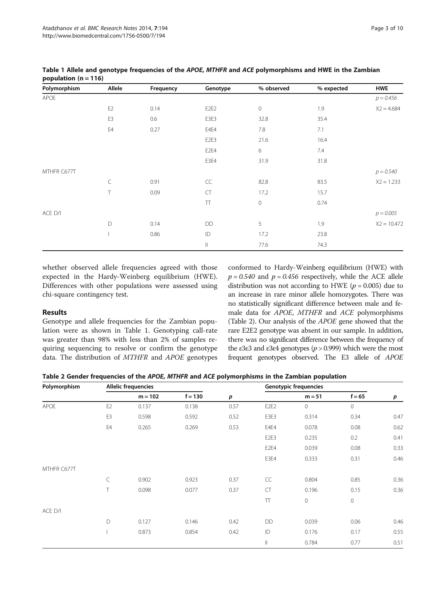| , נט ו – ווי ווטואשעט |                |           |                             |             |            |               |  |
|-----------------------|----------------|-----------|-----------------------------|-------------|------------|---------------|--|
| Polymorphism          | Allele         | Frequency | Genotype                    | % observed  | % expected | <b>HWE</b>    |  |
| APOE                  |                |           |                             |             |            | $p = 0.456$   |  |
|                       | E <sub>2</sub> | 0.14      | E <sub>2E<sub>2</sub></sub> | $\mathbf 0$ | 1.9        | $X2 = 4.684$  |  |
|                       | E3             | 0.6       | E3E3                        | 32.8        | 35.4       |               |  |
|                       | E4             | 0.27      | E4E4                        | 7.8         | 7.1        |               |  |
|                       |                |           | E <sub>2E3</sub>            | 21.6        | 16.4       |               |  |
|                       |                |           | E2E4                        | 6           | 7.4        |               |  |
|                       |                |           | E3E4                        | 31.9        | 31.8       |               |  |
| MTHFR C677T           |                |           |                             |             |            | $p = 0.540$   |  |
|                       | C              | 0.91      | CC                          | 82.8        | 83.5       | $X2 = 1.233$  |  |
|                       | т              | 0.09      | <b>CT</b>                   | 17.2        | 15.7       |               |  |
|                       |                |           | Π                           | $\mathbf 0$ | 0.74       |               |  |
| ACE D/I               |                |           |                             |             |            | $p = 0.005$   |  |
|                       | D              | 0.14      | DD                          | 5           | 1.9        | $X2 = 10.472$ |  |

 $\blacksquare$  0.86 ID 17.2 23.8

 $11$  77.6 74.3

Table 1 Allele and genotype frequencies of the APOE, MTHFR and ACE polymorphisms and HWE in the Zambian population  $(n = 116)$ 

whether observed allele frequencies agreed with those expected in the Hardy-Weinberg equilibrium (HWE). Differences with other populations were assessed using chi-square contingency test.

## Results

Genotype and allele frequencies for the Zambian population were as shown in Table 1. Genotyping call-rate was greater than 98% with less than 2% of samples requiring sequencing to resolve or confirm the genotype data. The distribution of MTHFR and APOE genotypes conformed to Hardy-Weinberg equilibrium (HWE) with  $p = 0.540$  and  $p = 0.456$  respectively, while the ACE allele distribution was not according to HWE ( $p = 0.005$ ) due to an increase in rare minor allele homozygotes. There was no statistically significant difference between male and female data for APOE, MTHFR and ACE polymorphisms (Table 2). Our analysis of the APOE gene showed that the rare E2E2 genotype was absent in our sample. In addition, there was no significant difference between the frequency of the ε3ε3 and ε3ε4 genotypes ( $p > 0.999$ ) which were the most frequent genotypes observed. The Ε3 allele of APOE

|  |  |  | Table 2 Gender frequencies of the APOE, MTHFR and ACE polymorphisms in the Zambian population |
|--|--|--|-----------------------------------------------------------------------------------------------|
|--|--|--|-----------------------------------------------------------------------------------------------|

| Polymorphism | <b>Allelic frequencies</b> |           |           |      | <b>Genotypic frequencies</b>  |             |              |      |
|--------------|----------------------------|-----------|-----------|------|-------------------------------|-------------|--------------|------|
|              |                            | $m = 102$ | $f = 130$ | p    |                               | $m = 51$    | $f = 65$     | p    |
| APOE         | E <sub>2</sub>             | 0.137     | 0.138     | 0.57 | E <sub>2</sub> E <sub>2</sub> | $\mathbf 0$ | $\mathbf{0}$ |      |
|              | E3                         | 0.598     | 0.592     | 0.52 | E3E3                          | 0.314       | 0.34         | 0.47 |
|              | E4                         | 0.265     | 0.269     | 0.53 | E4E4                          | 0.078       | 0.08         | 0.62 |
|              |                            |           |           |      | E <sub>2E</sub> 3             | 0.235       | 0.2          | 0.41 |
|              |                            |           |           |      | E <sub>2E4</sub>              | 0.039       | 0.08         | 0.33 |
|              |                            |           |           |      | E3E4                          | 0.333       | 0.31         | 0.46 |
| MTHFR C677T  |                            |           |           |      |                               |             |              |      |
|              | C                          | 0.902     | 0.923     | 0.37 | CC                            | 0.804       | 0.85         | 0.36 |
|              | T                          | 0.098     | 0.077     | 0.37 | CT                            | 0.196       | 0.15         | 0.36 |
|              |                            |           |           |      | $\top$                        | $\mathbf 0$ | $\mathbb O$  |      |
| ACE D/I      |                            |           |           |      |                               |             |              |      |
|              | D                          | 0.127     | 0.146     | 0.42 | <b>DD</b>                     | 0.039       | 0.06         | 0.46 |
|              |                            | 0.873     | 0.854     | 0.42 | ID                            | 0.176       | 0.17         | 0.55 |
|              |                            |           |           |      | $\mathbf{  }$                 | 0.784       | 0.77         | 0.51 |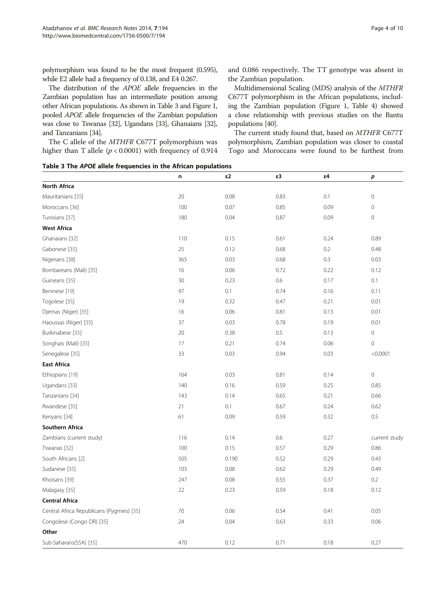polymorphism was found to be the most frequent (0.595), while Ε2 allele had a frequency of 0.138, and Ε4 0.267.

The distribution of the APOE allele frequencies in the Zambian population has an intermediate position among other African populations. As shown in Table 3 and Figure [1](#page-4-0), pooled APOE allele frequencies of the Zambian population was close to Tswanas [\[32\]](#page-8-0), Ugandans [\[33](#page-8-0)], Ghanaians [\[32](#page-8-0)], and Tanzanians [[34\]](#page-8-0).

and 0.086 respectively. The TT genotype was absent in the Zambian population.

Multidimensional Scaling (MDS) analysis of the MTHFR C677T polymorphism in the African populations, including the Zambian population (Figure [1,](#page-4-0) Table [4\)](#page-5-0) showed a close relationship with previous studies on the Bantu populations [[40](#page-8-0)].

The current study found that, based on MTHFR C677T polymorphism, Zambian population was closer to coastal Togo and Moroccans were found to be furthest from

The C allele of the MTHFR C677T polymorphism was higher than T allele ( $p < 0.0001$ ) with frequency of 0.914 Table 3 The APOE allele frequencies in the African populations

|                                           | n   | ε2    | ε3   | ε4   | p              |
|-------------------------------------------|-----|-------|------|------|----------------|
| <b>North Africa</b>                       |     |       |      |      |                |
| Mauritanians [35]                         | 20  | 0.08  | 0.83 | 0.1  | $\overline{0}$ |
| Moroccans [36]                            | 100 | 0.07  | 0.85 | 0.09 | $\mathbf 0$    |
| Tunisians [37]                            | 180 | 0.04  | 0.87 | 0.09 | $\mathbf 0$    |
| <b>West Africa</b>                        |     |       |      |      |                |
| Ghanaians [32]                            | 110 | 0.15  | 0.61 | 0.24 | 0.89           |
| Gabonese [35]                             | 25  | 0.12  | 0.68 | 0.2  | 0.48           |
| Nigerians [38]                            | 365 | 0.03  | 0.68 | 0.3  | 0.03           |
| Bombareans (Mali) [35]                    | 16  | 0.06  | 0.72 | 0.22 | 0.12           |
| Guineans [35]                             | 30  | 0.23  | 0.6  | 0.17 | 0.1            |
| Beninese [19]                             | 97  | 0.1   | 0.74 | 0.16 | 0.11           |
| Togolese [35]                             | 19  | 0.32  | 0.47 | 0.21 | 0.01           |
| Djernas (Niger) [35]                      | 16  | 0.06  | 0.81 | 0.13 | 0.01           |
| Haoussas (Niger) [35]                     | 37  | 0.03  | 0.78 | 0.19 | 0.01           |
| Burkinabese [35]                          | 20  | 0.38  | 0.5  | 0.13 | $\mathbb O$    |
| Songhais (Mali) [35]                      | 17  | 0.21  | 0.74 | 0.06 | $\mathbf 0$    |
| Senegalese [35]                           | 33  | 0.03  | 0.94 | 0.03 | < 0.0001       |
| <b>East Africa</b>                        |     |       |      |      |                |
| Ethiopians [19]                           | 164 | 0.03  | 0.81 | 0.14 | $\mathbf 0$    |
| Ugandans [33]                             | 140 | 0.16  | 0.59 | 0.25 | 0.85           |
| Tanzanians [34]                           | 143 | 0.14  | 0.65 | 0.21 | 0.66           |
| Rwandese [35]                             | 21  | 0.1   | 0.67 | 0.24 | 0.62           |
| Kenyans [34]                              | 61  | 0.09  | 0.59 | 0.32 | 0.5            |
| Southern Africa                           |     |       |      |      |                |
| Zambians (current study)                  | 116 | 0.14  | 0.6  | 0.27 | current study  |
| Tswanas [32]                              | 100 | 0.15  | 0.57 | 0.29 | 0.86           |
| South Africans [2]                        | 505 | 0.190 | 0.52 | 0.29 | 0.43           |
| Sudanese [35]                             | 103 | 0.08  | 0.62 | 0.29 | 0.49           |
| Khoisans [39]                             | 247 | 0.08  | 0.55 | 0.37 | 0.2            |
| Malagasy [35]                             | 22  | 0.23  | 0.59 | 0.18 | 0.12           |
| <b>Central Africa</b>                     |     |       |      |      |                |
| Central Africa Republicans (Pygmies) [35] | 70  | 0.06  | 0.54 | 0.41 | 0.05           |
| Congolese (Congo DR) [35]                 | 24  | 0.04  | 0.63 | 0.33 | 0.06           |
| Other                                     |     |       |      |      |                |
| Sub-Saharans(SSA) [35]                    | 470 | 0.12  | 0.71 | 0.18 | 0.27           |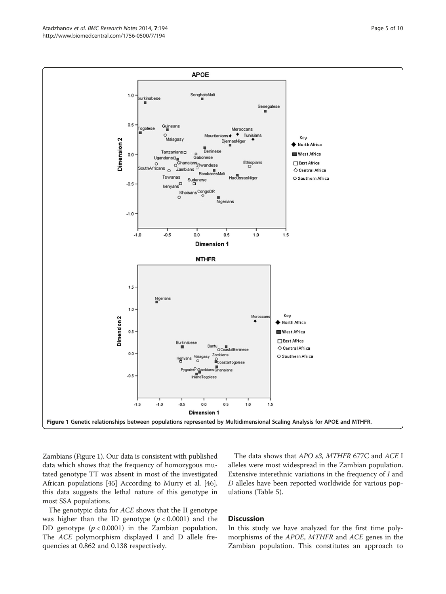<span id="page-4-0"></span>

Zambians (Figure 1). Our data is consistent with published data which shows that the frequency of homozygous mutated genotype TT was absent in most of the investigated African populations [\[45\]](#page-8-0) According to Murry et al. [[46](#page-8-0)], this data suggests the lethal nature of this genotype in most SSA populations.

The genotypic data for ACE shows that the II genotype was higher than the ID genotype  $(p < 0.0001)$  and the DD genotype  $(p < 0.0001)$  in the Zambian population. The ACE polymorphism displayed I and D allele frequencies at 0.862 and 0.138 respectively.

The data shows that  $APO$  ε3, MTHFR 677C and  $ACE$  I alleles were most widespread in the Zambian population. Extensive interethnic variations in the frequency of I and D alleles have been reported worldwide for various populations (Table [5](#page-5-0)).

## **Discussion**

In this study we have analyzed for the first time polymorphisms of the APOE, MTHFR and ACE genes in the Zambian population. This constitutes an approach to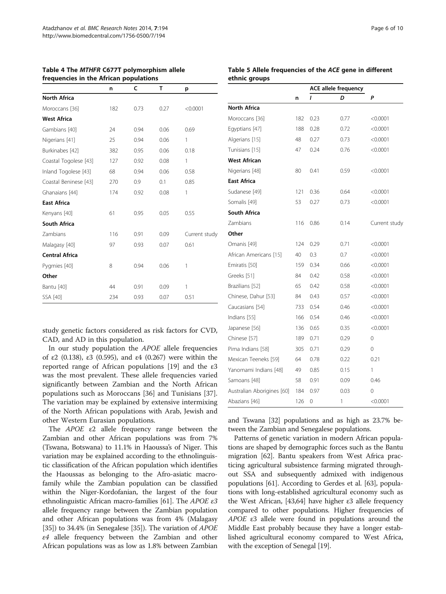| megaencies in the Annuan populations |      |      |               |  |  |  |  |
|--------------------------------------|------|------|---------------|--|--|--|--|
| n                                    | c    | т    | p             |  |  |  |  |
|                                      |      |      |               |  |  |  |  |
| 182                                  | 0.73 | 0.27 | < 0.0001      |  |  |  |  |
|                                      |      |      |               |  |  |  |  |
| 24                                   | 0.94 | 0.06 | 0.69          |  |  |  |  |
| 25                                   | 0.94 | 0.06 | 1             |  |  |  |  |
| 382                                  | 0.95 | 0.06 | 0.18          |  |  |  |  |
| 127                                  | 0.92 | 0.08 | 1             |  |  |  |  |
| 68                                   | 0.94 | 0.06 | 0.58          |  |  |  |  |
| 270                                  | 0.9  | 0.1  | 0.85          |  |  |  |  |
| 174                                  | 0.92 | 0.08 | 1             |  |  |  |  |
|                                      |      |      |               |  |  |  |  |
| 61                                   | 0.95 | 0.05 | 0.55          |  |  |  |  |
|                                      |      |      |               |  |  |  |  |
| 116                                  | 0.91 | 0.09 | Current study |  |  |  |  |
| 97                                   | 0.93 | 0.07 | 0.61          |  |  |  |  |
|                                      |      |      |               |  |  |  |  |
| 8                                    | 0.94 | 0.06 | 1             |  |  |  |  |
|                                      |      |      |               |  |  |  |  |
| 44                                   | 0.91 | 0.09 | 1             |  |  |  |  |
| 234                                  | 0.93 | 0.07 | 0.51          |  |  |  |  |
|                                      |      |      |               |  |  |  |  |

<span id="page-5-0"></span>Table 4 The MTHFR C677T polymorphism allele frequencies in the African populations

study genetic factors considered as risk factors for CVD, CAD, and AD in this population.

In our study population the APOE allele frequencies of ε2 (0.138), ε3 (0.595), and ε4 (0.267) were within the reported range of African populations [[19\]](#page-8-0) and the ε3 was the most prevalent. These allele frequencies varied significantly between Zambian and the North African populations such as Moroccans [\[36\]](#page-8-0) and Tunisians [\[37](#page-8-0)]. The variation may be explained by extensive intermixing of the North African populations with Arab, Jewish and other Western Eurasian populations.

The APOE ε2 allele frequency range between the Zambian and other African populations was from 7% (Tswana, Botswana) to 11.1% in Haoussa's of Niger. This variation may be explained according to the ethnolinguistic classification of the African population which identifies the Haoussas as belonging to the Afro-asiatic macrofamily while the Zambian population can be classified within the Niger-Kordofanian, the largest of the four ethnolinguistic African macro-families [\[61\]](#page-9-0). The APOE  $\varepsilon$ 3 allele frequency range between the Zambian population and other African populations was from 4% (Malagasy [[35](#page-8-0)]) to 34.4% (in Senegalese [[35\]](#page-8-0)). The variation of APOE ε4 allele frequency between the Zambian and other African populations was as low as 1.8% between Zambian

### Table 5 Allele frequencies of the ACE gene in different ethnic groups

|                            |     |      | <b>ACE allele frequency</b> |               |
|----------------------------|-----|------|-----------------------------|---------------|
|                            | n   | ı    | D                           | Ρ             |
| <b>North Africa</b>        |     |      |                             |               |
| Moroccans [36]             | 182 | 0.23 | 0.77                        | < 0.0001      |
| Egyptians [47]             | 188 | 0.28 | 0.72                        | < 0.0001      |
| Algerians [15]             | 48  | 0.27 | 0.73                        | < 0.0001      |
| Tunisians [15]             | 47  | 0.24 | 0.76                        | < 0.0001      |
| West African               |     |      |                             |               |
| Nigerians [48]             | 80  | 0.41 | 0.59                        | < 0.0001      |
| <b>East Africa</b>         |     |      |                             |               |
| Sudanese [49]              | 121 | 0.36 | 0.64                        | < 0.0001      |
| Somalis [49]               | 53  | 0.27 | 0.73                        | < 0.0001      |
| South Africa               |     |      |                             |               |
| Zambians                   | 116 | 0.86 | 0.14                        | Current study |
| Other                      |     |      |                             |               |
| Omanis [49]                | 124 | 0.29 | 0.71                        | < 0.0001      |
| African Americans [15]     | 40  | 0.3  | 0.7                         | < 0.0001      |
| Emiratis [50]              | 159 | 0.34 | 0.66                        | < 0.0001      |
| Greeks [51]                | 84  | 0.42 | 0.58                        | < 0.0001      |
| Brazilians [52]            | 65  | 0.42 | 0.58                        | < 0.0001      |
| Chinese, Dahur [53]        | 84  | 0.43 | 0.57                        | < 0.0001      |
| Caucasians [54]            | 733 | 0.54 | 0.46                        | < 0.0001      |
| Indians [55]               | 166 | 0.54 | 0.46                        | < 0.0001      |
| Japanese [56]              | 136 | 0.65 | 0.35                        | < 0.0001      |
| Chinese [57]               | 189 | 0.71 | 0.29                        | 0             |
| Pima Indians [58]          | 305 | 0.71 | 0.29                        | 0             |
| Mexican Teeneks [59]       | 64  | 0.78 | 0.22                        | 0.21          |
| Yanomami Indians [48]      | 49  | 0.85 | 0.15                        | 1             |
| Samoans [48]               | 58  | 0.91 | 0.09                        | 0.46          |
| Australian Aborigines [60] | 184 | 0.97 | 0.03                        | 0             |
| Abazians [46]              | 126 | 0    | 1                           | < 0.0001      |

and Tswana [[32](#page-8-0)] populations and as high as 23.7% between the Zambian and Senegalese populations.

Patterns of genetic variation in modern African populations are shaped by demographic forces such as the Bantu migration [[62](#page-9-0)]. Bantu speakers from West Africa practicing agricultural subsistence farming migrated throughout SSA and subsequently admixed with indigenous populations [[61\]](#page-9-0). According to Gerdes et al. [[63](#page-9-0)], populations with long-established agricultural economy such as the West African, [\[43,](#page-8-0)[64](#page-9-0)] have higher ε3 allele frequency compared to other populations. Higher frequencies of APOE ε3 allele were found in populations around the Middle East probably because they have a longer established agricultural economy compared to West Africa, with the exception of Senegal [[19](#page-8-0)].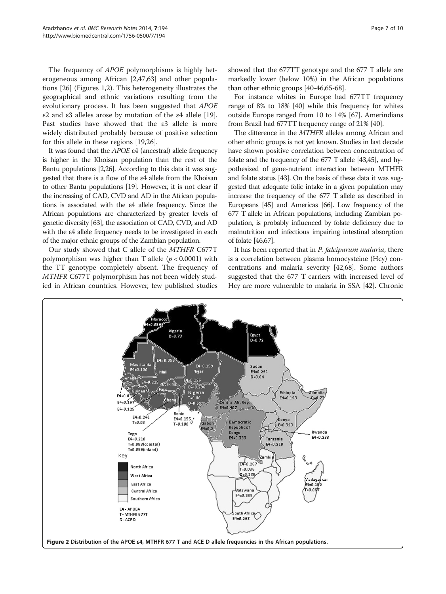The frequency of APOE polymorphisms is highly heterogeneous among African [\[2](#page-7-0)[,47](#page-8-0)[,63](#page-9-0)] and other populations [\[26\]](#page-8-0) (Figures [1,](#page-4-0)2). This heterogeneity illustrates the geographical and ethnic variations resulting from the evolutionary process. It has been suggested that APOE ε2 and ε3 alleles arose by mutation of the ε4 allele [\[19](#page-8-0)]. Past studies have showed that the ε3 allele is more widely distributed probably because of positive selection for this allele in these regions [[19](#page-8-0),[26](#page-8-0)].

It was found that the APOE ε4 (ancestral) allele frequency is higher in the Khoisan population than the rest of the Bantu populations [\[2](#page-7-0)[,26\]](#page-8-0). According to this data it was suggested that there is a flow of the ε4 allele from the Khoisan to other Bantu populations [[19](#page-8-0)]. However, it is not clear if the increasing of CAD, CVD and AD in the African populations is associated with the ε4 allele frequency. Since the African populations are characterized by greater levels of genetic diversity [\[63\]](#page-9-0), the association of CAD, CVD, and AD with the ε4 allele frequency needs to be investigated in each of the major ethnic groups of the Zambian population.

Our study showed that C allele of the MTHFR C677T polymorphism was higher than T allele ( $p < 0.0001$ ) with the TT genotype completely absent. The frequency of MTHFR C677T polymorphism has not been widely studied in African countries. However, few published studies showed that the 677TT genotype and the 677 T allele are markedly lower (below 10%) in the African populations than other ethnic groups [\[40-46](#page-8-0)[,65-68\]](#page-9-0).

For instance whites in Europe had 677TT frequency range of 8% to 18% [[40\]](#page-8-0) while this frequency for whites outside Europe ranged from 10 to 14% [\[67\]](#page-9-0). Amerindians from Brazil had 677TT frequency range of 21% [\[40\]](#page-8-0).

The difference in the MTHFR alleles among African and other ethnic groups is not yet known. Studies in last decade have shown positive correlation between concentration of folate and the frequency of the 677 T allele [\[43,45](#page-8-0)], and hypothesized of gene-nutrient interaction between MTHFR and folate status [\[43](#page-8-0)]. On the basis of these data it was suggested that adequate folic intake in a given population may increase the frequency of the 677 T allele as described in Europeans [[45](#page-8-0)] and Americas [\[66](#page-9-0)]. Low frequency of the 677 T allele in African populations, including Zambian population, is probably influenced by folate deficiency due to malnutrition and infectious impairing intestinal absorption of folate [\[46,](#page-8-0)[67\]](#page-9-0).

It has been reported that in *P. falciparum malaria*, there is a correlation between plasma homocysteine (Hcy) concentrations and malaria severity [[42](#page-8-0)[,68\]](#page-9-0). Some authors suggested that the 677 T carriers with increased level of Hcy are more vulnerable to malaria in SSA [[42](#page-8-0)]. Chronic

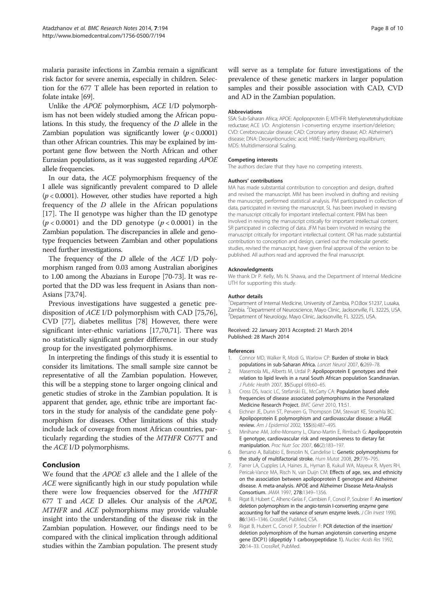<span id="page-7-0"></span>malaria parasite infections in Zambia remain a significant risk factor for severe anemia, especially in children. Selection for the 677 T allele has been reported in relation to folate intake [\[69\]](#page-9-0).

Unlike the APOE polymorphism, ACE I/D polymorphism has not been widely studied among the African populations. In this study, the frequency of the D allele in the Zambian population was significantly lower  $(p < 0.0001)$ than other African countries. This may be explained by important gene flow between the North African and other Eurasian populations, as it was suggested regarding APOE allele frequencies.

In our data, the ACE polymorphism frequency of the I allele was significantly prevalent compared to D allele  $(p < 0.0001)$ . However, other studies have reported a high frequency of the D allele in the African populations [[17](#page-8-0)]. The II genotype was higher than the ID genotype  $(p < 0.0001)$  and the DD genotype  $(p < 0.0001)$  in the Zambian population. The discrepancies in allele and genotype frequencies between Zambian and other populations need further investigations.

The frequency of the  $D$  allele of the  $ACE$  I/D polymorphism ranged from 0.03 among Australian aborigines to 1.00 among the Abazians in Europe [\[70-73\]](#page-9-0). It was reported that the DD was less frequent in Asians than non-Asians [[73,74](#page-9-0)].

Previous investigations have suggested a genetic predisposition of ACE I/D polymorphism with CAD [\[75,76](#page-9-0)], CVD [[77](#page-9-0)], diabetes mellitus [\[78](#page-9-0)] However, there were significant inter-ethnic variations [\[17,](#page-8-0)[70,71\]](#page-9-0). There was no statistically significant gender difference in our study group for the investigated polymorphisms.

In interpreting the findings of this study it is essential to consider its limitations. The small sample size cannot be representative of all the Zambian population. However, this will be a stepping stone to larger ongoing clinical and genetic studies of stroke in the Zambian population. It is apparent that gender, age, ethnic tribe are important factors in the study for analysis of the candidate gene polymorphism for diseases. Other limitations of this study include lack of coverage from most African countries, particularly regarding the studies of the MTHFR C677T and the ACE I/D polymorphisms.

## Conclusion

We found that the APOE ε3 allele and the I allele of the ACE were significantly high in our study population while there were low frequencies observed for the MTHFR 677 T and ACE D alleles. Our analysis of the APOE, MTHFR and ACE polymorphisms may provide valuable insight into the understanding of the disease risk in the Zambian population. However, our findings need to be compared with the clinical implication through additional studies within the Zambian population. The present study will serve as a template for future investigations of the prevalence of these genetic markers in larger population samples and their possible association with CAD, CVD and AD in the Zambian population.

#### Abbreviations

SSA: Sub-Saharan Africa; APOE: Apolipoprotein E; MTHFR: Methylenetetrahydrofolate reductase; ACE I/D: Angiotensin I-converting enzyme insertion/deletion; CVD: Cerebrovascular disease; CAD: Coronary artery disease; AD: Alzheimer's disease; DNA: Deoxyribonucleic acid; HWE: Hardy-Weinberg equilibrium; MDS: Multidimensional Scaling.

#### Competing interests

The authors declare that they have no competing interests.

#### Authors' contributions

MA has made substantial contribution to conception and design, drafted and revised the manuscript. MM has been involved in drafting and revising the manuscript, performed statistical analysis. PM participated in collection of data, participated in revising the manuscript. SL has been involved in revising the manuscript critically for important intellectual content. PBM has been involved in revising the manuscript critically for important intellectual content. SR participated in collecting of data. JFM has been involved in revising the manuscript critically for important intellectual content. OR has made substantial contribution to conception and design, carried out the molecular genetic studies, revised the manuscript, have given final approval of the version to be published. All authors read and approved the final manuscript.

#### Acknowledgments

We thank Dr P. Kelly, Ms N. Shawa, and the Department of Internal Medicine UTH for supporting this study.

#### Author details

<sup>1</sup>Department of Internal Medicine, University of Zambia, P.O.Box 51237, Lusaka, Zambia. <sup>2</sup> Department of Neuroscience, Mayo Clinic, Jacksonville, FL 32225, USA.<br><sup>3</sup> Department of Neurology, Mayo Clinic, Jacksonville, FL 32225, USA. <sup>3</sup>Department of Neurology, Mayo Clinic, Jacksonville, FL 32225, USA.

#### Received: 22 January 2013 Accepted: 21 March 2014 Published: 28 March 2014

#### References

- 1. Connor MD, Walker R, Modi G, Warlow CP: Burden of stroke in black populations in sub-Saharan Africa. Lancet Neurol 2007, 6:269–78.
- 2. Masemola ML, Alberts M, Urdal P: Apolipoprotein E genotypes and their relation to lipid levels in a rural South African population Scandinavian. J Public Health 2007, 35(Suppl 69):60–65.
- 3. Cross DS, Ivacic LC, Stefanski EL, McCarty CA: Population based allele frequencies of disease associated polymorphisms in the Personalized Medicine Research Project. BMC Genet 2010, 11:51.
- 4. Eichner JE, Dunn ST, Perveen G, Thompson DM, Stewart KE, Stroehla BC: Apolipoprotein E polymorphism and cardiovascular disease: a HuGE review. Am J Epidemiol 2002, 155(6):487–495.
- 5. Minihane AM, Jofre-Monseny L, Olano-Martin E, Rimbach G: Apolipoprotein E genotype, cardiovascular risk and responsiveness to dietary fat manipulation. Proc Nutr Soc 2007, 66(2):183-197.
- 6. Bersano A, Ballabio E, Bresolin N, Candelise L: Genetic polymorphisms for the study of multifactorial stroke. Hum Mutat 2008, 29:776–795.
- 7. Farrer LA, Cupples LA, Haines JL, Hyman B, Kukull WA, Mayeux R, Myers RH, Pericak-Vance MA, Risch N, van Duijn CM: Effects of age, sex, and ethnicity on the association between apolipoprotein E genotype and Alzheimer disease. A meta-analysis. APOE and Alzheimer Disease Meta-Analysis Consortium. JAMA 1997, 278:1349–1356.
- 8. Rigat B, Hubert C, Alhenc-Gelas F, Cambien F, Corvol P, Soubrier F: An insertion/ deletion polymorphism in the angio-tensin I-converting enzyme gene accounting for half the variance of serum enzyme levels. J Clin Invest 1990, 86:1343–1346. CrossRef, PubMed, CSA.
- 9. Rigat B, Hubert C, Corvol P, Soubrier F: PCR detection of the insertion/ deletion polymorphism of the human angiotensin converting enzyme gene (DCP1) (dipeptidy 1 carboxypeptidase 1). Nucleic Acids Res 1992, 20:14–33. CrossRef, PubMed.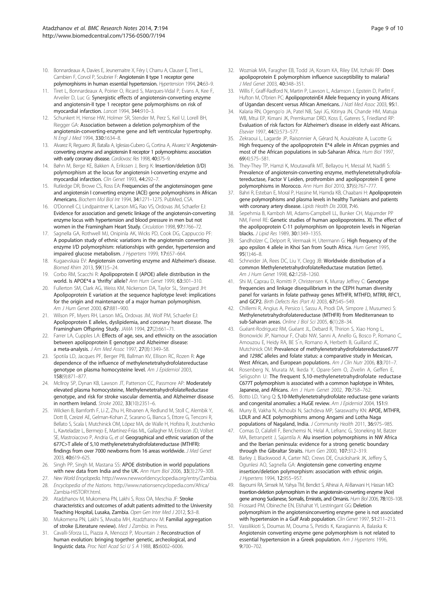- <span id="page-8-0"></span>10. Bonnardeaux A, Davies E, Jeunemaitre X, Féry I, Charru A, Clauser E, Tiret L, Cambien F, Corvol P, Soubrier F: Angiotensin II type 1 receptor gene polymorphisms in human essential hypertension. Hypertension 1994, 24:63–9.
- 11. Tiret L, Bonnardeaux A, Poirier O, Ricard S, Marques-Vidal P, Evans A, Kee F, Arveiler D, Luc G: Synergistic effects of angiotensin-converting enzyme and angiotensin-II type 1 receptor gene polymorphisms on risk of myocardial infarction. Lancet 1994, 344:910–3.
- 12. Schunkert H, Hense HW, Holmer SR, Stender M, Perz S, Keil U, Lorell BH, Riegger GA: Association between a deletion polymorphism of the angiotensin-converting-enzyme gene and left ventricular hypertrophy. N Engl J Med 1994, 330:1634–8.
- 13. Alvarez R, Reguero JR, Batalla A, Iglesias-Cubero G, Cortina A, Alvarez V: Angiotensinconverting enzyme and angiotensin II receptor 1 polymorphisms: association with early coronary disease. Cardiovasc Res 1998, 40:375-9.
- 14. Bøhn M, Berge KE, Bakken A, Erikssen J, Berg K: Insertion/deletion (I/D) polymorphism at the locus for angiotensin I-converting enzyme and myocardial infarction. Clin Genet 1993, 44:292-7
- 15. Rutledge DR, Browe CS, Ross EA: Frequencies of the angiotensinogen gene and angiotensin I converting enzyme (ACE) gene polymorphisms in African Americans. Biochem Mol Biol Int 1994, 34:1271–1275. PubMed, CSA.
- 16. O'Donnell CJ, Lindpaintner K, Larson MG, Rao VS, Ordovas JM, Schaefer EJ: Evidence for association and genetic linkage of the angiotensin-converting enzyme locus with hypertension and blood pressure in men but not women in the Framingham Heart Study. Circulation 1998, 97:1766–72.
- 17. Sagnella GA, Rothwell MJ, Onipinla AK, Wicks PD, Cook DG, Cappuccio PF: A population study of ethnic variations in the angiotensin converting enzyme I/D polymorphism: relationships with gender, hypertension and impaired glucose metabolism. J Hypertens 1999, 17:657–664.
- 18. Kugaevskaia EV: Angiotensin converting enzyme and Alzheimer's disease. Biomed Khim 2013, 59(1):5–24.
- 19. Corbo RM, Scacchi R: Apolipoprotein E (APOE) allele distribution in the world. Is APOE\*4 a 'thrifty' allele? Ann Hum Genet 1999, 63:301–310.
- 20. Fullerton SM, Clark AG, Weiss KM, Nickerson DA, Taylor SL, Stengard JH: Apolipoprotein E variation at the sequence haplotype level: implications for the origin and maintenance of a major human polymorphism. Am J Hum Genet 2000, 67:881-900.
- 21. Wilson PF, Myers RH, Larson MG, Ordovas JM, Wolf PM, Schaefer EJ: Apolipoprotein E alleles, dyslipidemia, and coronary heart disease. The Framingham Offspring Study. JAMA 1994, 27(2):661–71.
- 22. Farrer LA, Cupples LA: Effects of age, sex, and ethnicity on the association between apolipoprotein E genotype and Alzheimer disease: a meta-analysis. J Am Med Assoc 1997, 27(8):1349–58.
- 23. Spotila LD, Jacques PF, Berger PB, Ballman KV, Ellison RC, Rozen R: Age dependence of the influence of methylenetetrahydrofolatereductase genotype on plasma homocysteine level. Am J Epidemiol 2003, 158(9):871–877.
- 24. McIlroy SP, Dynan KB, Lawson JT, Patterson CC, Passmore AP: Moderately elevated plasma homocysteine, MethylenetetrahydrofolateReductase genotype, and risk for stroke vascular dementia, and Alzheimer disease in northern Ireland. Stroke 2002, 33(10):2351–6.
- 25. Wilcken B, Bamforth F, Li Z, Zhu H, Ritvanen A, Redlund M, Stoll C, Alembik Y, Dott B, Czeizel AE, Gelman-Kohan Z, Scarano G, Bianca S, Ettore G, Tenconi R, Bellato S, Scala I, Mutchinick OM, López MA, de Walle H, Hofstra R, Joutchenko L, Kavteladze L, Bermejo E, Martínez-Frías ML, Gallagher M, Erickson JD, Vollset SE, Mastroiacovo P, Andria G, et al: Geographical and ethnic variation of the 677C>T allele of 5,10 methylenetetrahydrofolatereductase (MTHFR): findings from over 7000 newborns from 16 areas worldwide. J Med Genet 2003, 40:619–625.
- 26. Singh PP, Singh M, Mastana SS: APOE distribution in world populations with new data from India and the UK. Ann Hum Biol 2006, 33(3):279–308.
- 27. New World Encyclopedia. [http://www.newworldencyclopedia.org/entry/Zambia.](http://www.newworldencyclopedia.org/entry/Zambia) 28. Encyclopedia of the Nations. [http://www.nationsencyclopedia.com/Africa/](http://www.nationsencyclopedia.com/Africa/Zambia-HISTORY.html) [Zambia-HISTORY.html.](http://www.nationsencyclopedia.com/Africa/Zambia-HISTORY.html)
- 29. Atadzhanov M, Mukomena PN, Lakhi S, Ross OA, Meschia JF: Stroke characteristics and outcomes of adult patients admitted to the University Teaching Hospital, Lusaka, Zambia. Open Gen Inter Med J 2012, 5:3–8.
- 30. Mukomena PN, Lakhi S, Mwaba MH, Atadzhanov M: Familial aggregation of stroke (Literature review). Med J Zambia. in Press.
- 31. Cavalli-Sforza LL, Piazza A, Menozzi P, Mountain J: Reconstruction of human evolution: bringing together genetic, archeological, and linguistic data. Proc Natl Acad Sci U S A 1988, 85:6002–6006.
- 32. Wozniak MA, Faragher EB, Todd JA, Koram KA, Riley EM, Itzhaki RF: Does apolipoprotein E polymorphism influence susceptibility to malaria? J Med Genet 2003, 40:348–351.
- 33. Willis F, Graff-Radford N, Martin P, Lawson L, Adamson J, Epstein D, Parfitt F, Hufton M, O'brien PC: ApolipoproteinΕ4 Allele frequency in young Africans of Ugandan descent versus African Americans. J Natl Med Assoc 2003, 95:1.
- 34. Kalaria RN, Ogengo'o JA, Patel NB, Sayi JG, Kitinya JN, Chande HM, Matuja WB, Mtui EP, Kimani JK, Premkumar DRD, Koss E, Gateres S, Friedland RP: Evaluation of risk factors for Alzheimer's disease in elderly east Africans. Elsevier 1997, 44(5):573–577.
- Zekraoui L, Lagarde JP, Raisonnier A, Gérard N, Aouizérate A, Lucotte G: High frequency of the apolipoprotein E\*4 allele in African pygmies and most of the African populations in sub-Saharan Africa. Hum Biol 1997, 69(4):575–581.
- 36. They-They TP, Hamzi K, Moutawafik MT, Bellayou H, Messal M, Nadifi S: Prevalence of angiotensin-converting enzyme, methylenetetrahydrofolatereductase, Factor V Leiden, prothrombin and apolipoprotein E gene polymorphisms in Morocco. Ann Hum Biol 2010, 37(6):767–777.
- 37. Bahri R, Esteban E, Moral P, Hassine M, Hamda KB, Chaabani H: Apolipoprotein gene polymorphisms and plasma levels in healthy Tunisians and patients with coronary artery disease. Lipids Health Dis 2008, 7:46.
- 38. Sepehmia B, Kamboh MI, Adams-Campbell LL, Bunker CH, Majumder PP NM, Ferrel RE: Genetic studies of human apolipoproteins. XI. The effect of the apolipoprotein C-11 polymorphism on lipoprotein levels in Nigerian blacks. J Lipid Res 1989, 30:1349–1355.
- 39. Sandholzer C, Delport R, Vermaak H, Utermann G: High frequency of the apo epsilon 4 allele in Khoi San from South Africa. Hum Genet 1995, 95(1):46–8.
- 40. Schneider JA, Rees DC, Liu Y, Clegg JB: Worldwide distribution of a common MethylenetetrahydrofolateReductase mutation (letter). Am J Hum Genet 1998, 62:1258–1260.
- 41. Shi M, Caprau D, Romitti P, Christensen K, Murray Jeffrey C: Genotype frequencies and linkage disequilibrium in the CEPH human diversity panel for variants in folate pathway genes MTHFR, MTHFD, MTRR, RFC1, and GCP2. Birth Defects Res (Part A) 2003, 67:545–549.
- 42. Chillemi R, Angius A, Persico I, Sassu A, Prodi DA, Simpore J, Musumeci S: Methylenetetrahydrofolatereductase (MTHFR) from Mediterranean to sub-Saharan areas. Online J Biol Sci 2005, 6(1):28-34.
- 43. Guéant-Rodriguez RM, Guéant JL, Debard R, Thirion S, Xiao Hong L, Bronowicki JP, Namour F, Chabi NW, Sanni A, Anello G, Bosco P, Romano C, Amouzou E, Heidy RA, BE Śn, Romano A, Herbeth B, Guilland JC, Mutchinick OM: Prevalence of methylenetetrahydrofolatereductase677T and 1298C alleles and folate status: a comparative study in Mexican, West African, and European populations. Am J Clin Nutr 2006, 83:701-7.
- 44. Rosenberg N, Murata M, Ikeda Y, Opare-Sem O, Zivelin A, Geffen E, Seligsohn U: The frequent 5,10-methylenetetrahydrofolate reductase C677T polymorphism is associated with a common haplotype in Whites, Japanese, and Africans. Am J Hum Genet 2002, 70:758-762.
- 45. Botto LD, Yang Q: 5,10-Methylenetetrahydrofolate reductase gene variants and congenital anomalies: a HuGE review. Am J Epidemiol 2004, 151:9.
- 46. Murry B, Vakha N, Achoubi N, Sachdeva MP, Saraswathy KN: APOE, MTHFR, LDLR and ACE polymorphisms among Angami and Lotha Naga populations of Nagaland, India. J Community Health 2011, 36:975-985.
- 47. Comas D, Calafell F, Benchemsi N, Helal A, Lefranc G, Stoneking M, Batzer MA, Betranpetit J, Sajantila A: Alu insertion polymorphisms in NW Africa and the Iberian peninsula: evidence for a strong genetic boundary through the Gibraltar Straits. Hum Gen 2000, 107:312–319.
- 48. Barley J, Blackwood A, Carter ND, Crews DE, Cruickshank JK, Jeffery S, Ogunlesi AO, Sagnella GA: Angiotensin gene converting enzyme insertion/deletion polymorphism: association with ethnic origin. J Hypertens 1994, 12:955–957.
- 49. Bayoumi RA, Simsek M, Yahya TM, Bendict S, Alhinai A, Al-Barwani H, Hassan MO: Insertion-deletion polymorphism in the angiotensin-converting enzyme (Ace) gene among Sudanese, Somalis, Emiratis, and Omanis. Hum Biol 2006, 78:103–108.
- 50. Frossard PM, Obineche EN, Elshahat YI, Lestringant GG: Deletion polymorphism in the angiotensinconverting enzyme gene is not associated with hypertension in a Gulf Arab population. Clin Genet 1997, 51:211-213.
- 51. Vassilikioti S, Doumas M, Douma S, Petidis K, Karagiannis A, Balaska K: Angiotensin converting enzyme gene polymorphism is not related to essential hypertension in a Greek population. Am J Hypertens 1996, 9:700–702.